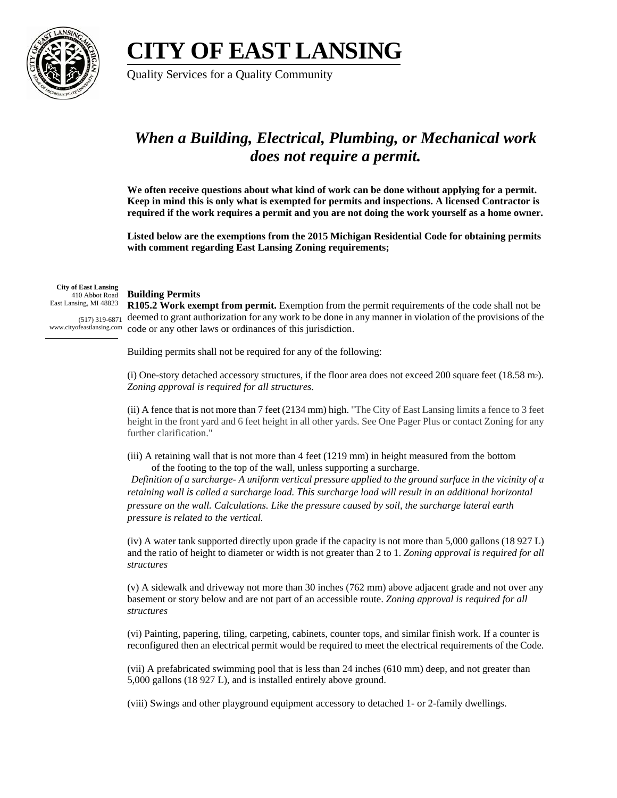## **CITY OF EAST LANSING**



Quality Services for a Quality Community

## *When a Building, Electrical, Plumbing, or Mechanical work does not require a permit.*

**We often receive questions about what kind of work can be done without applying for a permit. Keep in mind this is only what is exempted for permits and inspections. A licensed Contractor is required if the work requires a permit and you are not doing the work yourself as a home owner.** 

**Listed below are the exemptions from the 2015 Michigan Residential Code for obtaining permits with comment regarding East Lansing Zoning requirements;** 

**City of East Lansing** 410 Abbot Road East Lansing, MI 48823

## **Building Permits**

 $(517)$  319-6871 deemed to grant authorization for any work to be done in any manner in violation of the provisions of the www.cityofeastlansing.com code or any other laws or ordinances of this jurisdiction. **R105.2 Work exempt from permit.** Exemption from the permit requirements of the code shall not be

Building permits shall not be required for any of the following:

(i) One-story detached accessory structures, if the floor area does not exceed 200 square feet (18.58 m2). *Zoning approval is required for all structures*.

(ii) A fence that is not more than 7 feet (2134 mm) high. "The City of East Lansing limits a fence to 3 feet height in the front yard and 6 feet height in all other yards. See One Pager Plus or contact Zoning for any further clarification."

(iii) A retaining wall that is not more than 4 feet (1219 mm) in height measured from the bottom of the footing to the top of the wall, unless supporting a surcharge.

*Definition of a surcharge- A uniform vertical pressure applied to the ground surface in the vicinity of a retaining wall is called a surcharge load. This surcharge load will result in an additional horizontal pressure on the wall. Calculations. Like the pressure caused by soil, the surcharge lateral earth pressure is related to the vertical.*

(iv) A water tank supported directly upon grade if the capacity is not more than 5,000 gallons (18 927 L) and the ratio of height to diameter or width is not greater than 2 to 1. *Zoning approval is required for all structures*

(v) A sidewalk and driveway not more than 30 inches (762 mm) above adjacent grade and not over any basement or story below and are not part of an accessible route. *Zoning approval is required for all structures*

(vi) Painting, papering, tiling, carpeting, cabinets, counter tops, and similar finish work. If a counter is reconfigured then an electrical permit would be required to meet the electrical requirements of the Code.

(vii) A prefabricated swimming pool that is less than 24 inches (610 mm) deep, and not greater than 5,000 gallons (18 927 L), and is installed entirely above ground.

(viii) Swings and other playground equipment accessory to detached 1- or 2-family dwellings.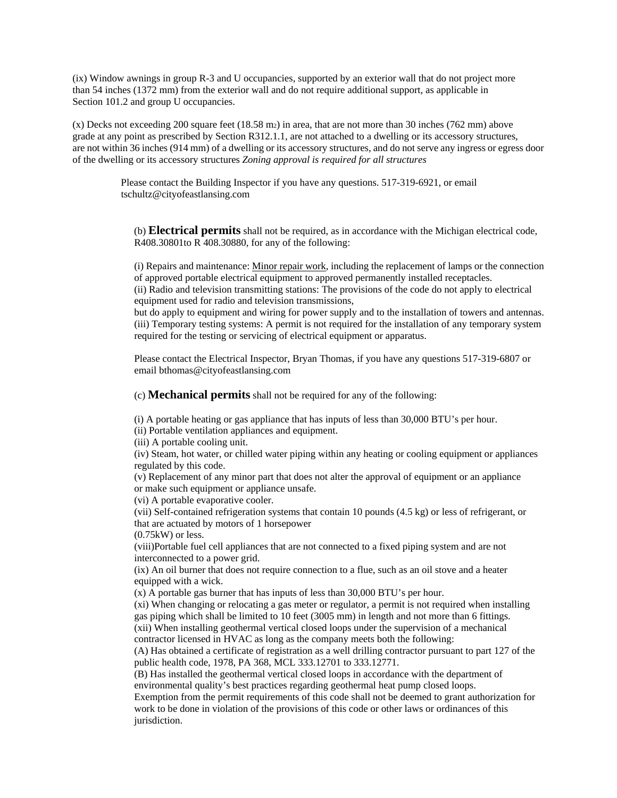(ix) Window awnings in group R-3 and U occupancies, supported by an exterior wall that do not project more than 54 inches (1372 mm) from the exterior wall and do not require additional support, as applicable in Section 101.2 and group U occupancies.

(x) Decks not exceeding 200 square feet  $(18.58 \text{ m}_2)$  in area, that are not more than 30 inches (762 mm) above grade at any point as prescribed by Section R312.1.1, are not attached to a dwelling or its accessory structures, are not within 36 inches (914 mm) of a dwelling or its accessory structures, and do not serve any ingress or egress door of the dwelling or its accessory structures *Zoning approval is required for all structures*

> Please contact the Building Inspector if you have any questions. 517-319-6921, or email tschultz@cityofeastlansing.com

(b) **Electrical permits** shall not be required, as in accordance with the Michigan electrical code, R408.30801to R 408.30880, for any of the following:

(i) Repairs and maintenance: [Minor repair work,](https://www.legislature.mi.gov/(S(bhnasn2u44ubspj1evr4oxa1))/mileg.aspx?page=MclPASearch) including the replacement of lamps or the connection of approved portable electrical equipment to approved permanently installed receptacles. (ii) Radio and television transmitting stations: The provisions of the code do not apply to electrical equipment used for radio and television transmissions,

but do apply to equipment and wiring for power supply and to the installation of towers and antennas. (iii) Temporary testing systems: A permit is not required for the installation of any temporary system required for the testing or servicing of electrical equipment or apparatus.

Please contact the Electrical Inspector, Bryan Thomas, if you have any questions 517-319-6807 or email bthomas@cityofeastlansing.com

(c) **Mechanical permits** shall not be required for any of the following:

(i) A portable heating or gas appliance that has inputs of less than 30,000 BTU's per hour.

(ii) Portable ventilation appliances and equipment.

(iii) A portable cooling unit.

(iv) Steam, hot water, or chilled water piping within any heating or cooling equipment or appliances regulated by this code.

(v) Replacement of any minor part that does not alter the approval of equipment or an appliance or make such equipment or appliance unsafe.

(vi) A portable evaporative cooler.

(vii) Self-contained refrigeration systems that contain 10 pounds (4.5 kg) or less of refrigerant, or that are actuated by motors of 1 horsepower

(0.75kW) or less.

(viii)Portable fuel cell appliances that are not connected to a fixed piping system and are not interconnected to a power grid.

(ix) An oil burner that does not require connection to a flue, such as an oil stove and a heater equipped with a wick.

(x) A portable gas burner that has inputs of less than 30,000 BTU's per hour.

(xi) When changing or relocating a gas meter or regulator, a permit is not required when installing gas piping which shall be limited to 10 feet (3005 mm) in length and not more than 6 fittings. (xii) When installing geothermal vertical closed loops under the supervision of a mechanical contractor licensed in HVAC as long as the company meets both the following:

(A) Has obtained a certificate of registration as a well drilling contractor pursuant to part 127 of the public health code, 1978, PA 368, MCL 333.12701 to 333.12771.

(B) Has installed the geothermal vertical closed loops in accordance with the department of environmental quality's best practices regarding geothermal heat pump closed loops.

Exemption from the permit requirements of this code shall not be deemed to grant authorization for work to be done in violation of the provisions of this code or other laws or ordinances of this jurisdiction.